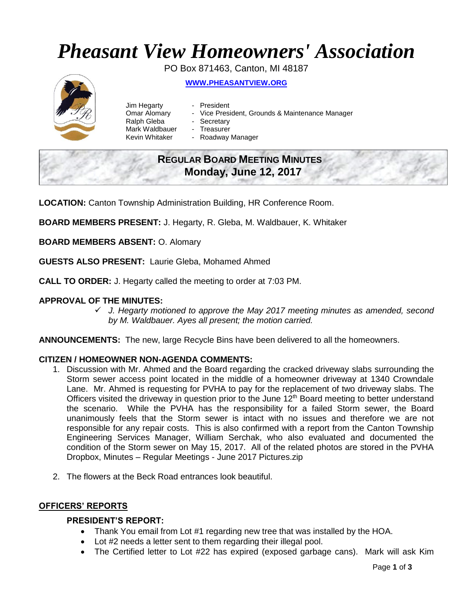# *Pheasant View Homeowners' Association*

PO Box 871463, Canton, MI 48187



**WWW.[PHEASANTVIEW](http://www.pheasantview.org/).ORG**

- Jim Hegarty President
	-
- Omar Alomary Vice President, Grounds & Maintenance Manager
- Ralph Gleba Secretary
- Mark Waldbauer Treasurer
- Kevin Whitaker Roadway Manager

# **REGULAR BOARD MEETING MINUTES Monday, June 12, 2017**

**LOCATION:** Canton Township Administration Building, HR Conference Room.

**BOARD MEMBERS PRESENT:** J. Hegarty, R. Gleba, M. Waldbauer, K. Whitaker

**BOARD MEMBERS ABSENT:** O. Alomary

**GUESTS ALSO PRESENT:** Laurie Gleba, Mohamed Ahmed

**CALL TO ORDER:** J. Hegarty called the meeting to order at 7:03 PM.

# **APPROVAL OF THE MINUTES:**

✓ *J. Hegarty motioned to approve the May 2017 meeting minutes as amended, second by M. Waldbauer. Ayes all present; the motion carried.* 

**ANNOUNCEMENTS:** The new, large Recycle Bins have been delivered to all the homeowners.

# **CITIZEN / HOMEOWNER NON-AGENDA COMMENTS:**

- 1. Discussion with Mr. Ahmed and the Board regarding the cracked driveway slabs surrounding the Storm sewer access point located in the middle of a homeowner driveway at 1340 Crowndale Lane. Mr. Ahmed is requesting for PVHA to pay for the replacement of two driveway slabs. The Officers visited the driveway in question prior to the June 12<sup>th</sup> Board meeting to better understand the scenario. While the PVHA has the responsibility for a failed Storm sewer, the Board unanimously feels that the Storm sewer is intact with no issues and therefore we are not responsible for any repair costs. This is also confirmed with a report from the Canton Township Engineering Services Manager, William Serchak, who also evaluated and documented the condition of the Storm sewer on May 15, 2017. All of the related photos are stored in the PVHA Dropbox, Minutes – Regular Meetings - June 2017 Pictures.zip
- 2. The flowers at the Beck Road entrances look beautiful.

# **OFFICERS' REPORTS**

#### **PRESIDENT'S REPORT:**

- Thank You email from Lot #1 regarding new tree that was installed by the HOA.
- Lot #2 needs a letter sent to them regarding their illegal pool.
- The Certified letter to Lot #22 has expired (exposed garbage cans). Mark will ask Kim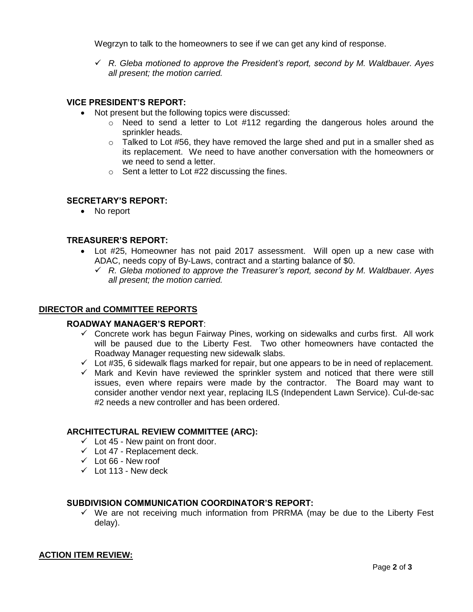Wegrzyn to talk to the homeowners to see if we can get any kind of response.

✓ *R. Gleba motioned to approve the President's report, second by M. Waldbauer. Ayes all present; the motion carried.*

# **VICE PRESIDENT'S REPORT:**

- Not present but the following topics were discussed:
	- $\circ$  Need to send a letter to Lot #112 regarding the dangerous holes around the sprinkler heads.
	- $\circ$  Talked to Lot #56, they have removed the large shed and put in a smaller shed as its replacement. We need to have another conversation with the homeowners or we need to send a letter.
	- $\circ$  Sent a letter to Lot #22 discussing the fines.

#### **SECRETARY'S REPORT:**

• No report

#### **TREASURER'S REPORT:**

- Lot #25, Homeowner has not paid 2017 assessment. Will open up a new case with ADAC, needs copy of By-Laws, contract and a starting balance of \$0.
	- ✓ *R. Gleba motioned to approve the Treasurer's report, second by M. Waldbauer. Ayes all present; the motion carried.*

#### **DIRECTOR and COMMITTEE REPORTS**

#### **ROADWAY MANAGER'S REPORT**:

- $\checkmark$  Concrete work has begun Fairway Pines, working on sidewalks and curbs first. All work will be paused due to the Liberty Fest. Two other homeowners have contacted the Roadway Manager requesting new sidewalk slabs.
- $\checkmark$  Lot #35, 6 sidewalk flags marked for repair, but one appears to be in need of replacement.
- $\checkmark$  Mark and Kevin have reviewed the sprinkler system and noticed that there were still issues, even where repairs were made by the contractor. The Board may want to consider another vendor next year, replacing ILS (Independent Lawn Service). Cul-de-sac #2 needs a new controller and has been ordered.

#### **ARCHITECTURAL REVIEW COMMITTEE (ARC):**

- $\checkmark$  Lot 45 New paint on front door.
- $\checkmark$  Lot 47 Replacement deck.
- $\checkmark$  Lot 66 New roof
- $\checkmark$  Lot 113 New deck

# **SUBDIVISION COMMUNICATION COORDINATOR'S REPORT:**

 $\checkmark$  We are not receiving much information from PRRMA (may be due to the Liberty Fest delay).

#### **ACTION ITEM REVIEW:**